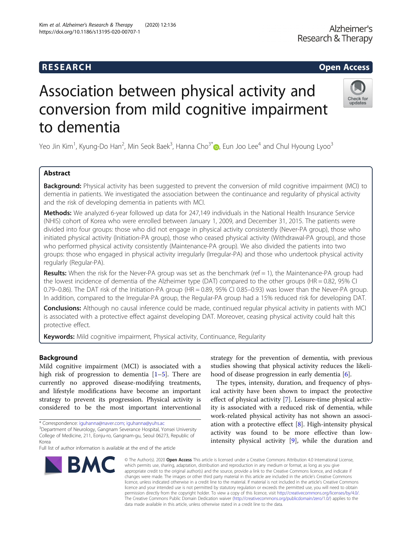# **RESEARCH CHILD CONTROL** CONTROL CONTROL CONTROL CONTROL CONTROL CONTROL CONTROL CONTROL CONTROL CONTROL CONTROL CONTROL CONTROL CONTROL CONTROL CONTROL CONTROL CONTROL CONTROL CONTROL CONTROL CONTROL CONTROL CONTROL CONTR

# Association between physical activity and conversion from mild cognitive impairment to dementia

Yeo Jin Kim<sup>1</sup>, Kyung-Do Han<sup>2</sup>, Min Seok Baek<sup>3</sup>, Hanna Cho<sup>3[\\*](http://orcid.org/0000-0001-5936-1546)</sup>៊●, Eun Joo Lee<sup>4</sup> and Chul Hyoung Lyoo<sup>3</sup>

# Abstract

**Background:** Physical activity has been suggested to prevent the conversion of mild cognitive impairment (MCI) to dementia in patients. We investigated the association between the continuance and regularity of physical activity and the risk of developing dementia in patients with MCI.

Methods: We analyzed 6-year followed up data for 247,149 individuals in the National Health Insurance Service (NHIS) cohort of Korea who were enrolled between January 1, 2009, and December 31, 2015. The patients were divided into four groups: those who did not engage in physical activity consistently (Never-PA group), those who initiated physical activity (Initiation-PA group), those who ceased physical activity (Withdrawal-PA group), and those who performed physical activity consistently (Maintenance-PA group). We also divided the patients into two groups: those who engaged in physical activity irregularly (Irregular-PA) and those who undertook physical activity regularly (Regular-PA).

**Results:** When the risk for the Never-PA group was set as the benchmark (ref  $= 1$ ), the Maintenance-PA group had the lowest incidence of dementia of the Alzheimer type (DAT) compared to the other groups (HR = 0.82, 95% CI 0.79–0.86). The DAT risk of the Initiation-PA group (HR = 0.89, 95% CI 0.85–0.93) was lower than the Never-PA group. In addition, compared to the Irregular-PA group, the Regular-PA group had a 15% reduced risk for developing DAT.

Conclusions: Although no causal inference could be made, continued regular physical activity in patients with MCI is associated with a protective effect against developing DAT. Moreover, ceasing physical activity could halt this protective effect.

**Keywords:** Mild cognitive impairment, Physical activity, Continuance, Regularity

# Background

Mild cognitive impairment (MCI) is associated with a high risk of progression to dementia  $[1-5]$  $[1-5]$  $[1-5]$ . There are currently no approved disease-modifying treatments, and lifestyle modifications have become an important strategy to prevent its progression. Physical activity is considered to be the most important interventional

# Kim et al. Alzheimer's Research & Therapy (2020) 12:136 https://doi.org/10.1186/s13195-020-00707-1

**BMC** 

strategy for the prevention of dementia, with previous studies showing that physical activity reduces the likelihood of disease progression in early dementia [\[6](#page-6-0)].

The types, intensity, duration, and frequency of physical activity have been shown to impact the protective effect of physical activity [\[7](#page-6-0)]. Leisure-time physical activity is associated with a reduced risk of dementia, while work-related physical activity has not shown an association with a protective effect [\[8](#page-6-0)]. High-intensity physical activity was found to be more effective than lowintensity physical activity [\[9](#page-6-0)], while the duration and

© The Author(s), 2020 **Open Access** This article is licensed under a Creative Commons Attribution 4.0 International License, which permits use, sharing, adaptation, distribution and reproduction in any medium or format, as long as you give appropriate credit to the original author(s) and the source, provide a link to the Creative Commons licence, and indicate if changes were made. The images or other third party material in this article are included in the article's Creative Commons licence, unless indicated otherwise in a credit line to the material. If material is not included in the article's Creative Commons licence and your intended use is not permitted by statutory regulation or exceeds the permitted use, you will need to obtain permission directly from the copyright holder. To view a copy of this licence, visit [http://creativecommons.org/licenses/by/4.0/.](http://creativecommons.org/licenses/by/4.0/) The Creative Commons Public Domain Dedication waiver [\(http://creativecommons.org/publicdomain/zero/1.0/](http://creativecommons.org/publicdomain/zero/1.0/)) applies to the data made available in this article, unless otherwise stated in a credit line to the data.



<sup>\*</sup> Correspondence: [iguhanna@naver.com](mailto:iguhanna@naver.com); [iguhanna@yuhs.ac](mailto:iguhanna@yuhs.ac) <sup>3</sup>

<sup>&</sup>lt;sup>3</sup>Department of Neurology, Gangnam Severance Hospital, Yonsei University College of Medicine, 211, Eonju-ro, Gangnam-gu, Seoul 06273, Republic of Korea

Full list of author information is available at the end of the article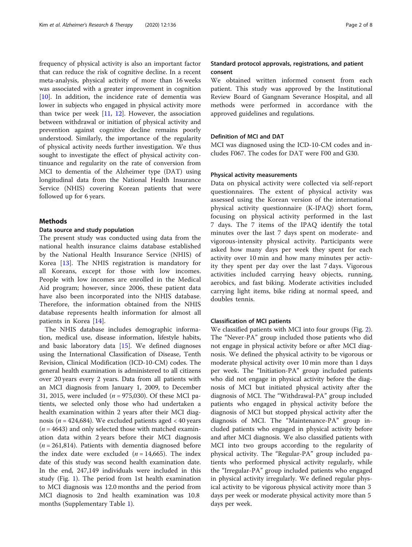frequency of physical activity is also an important factor that can reduce the risk of cognitive decline. In a recent meta-analysis, physical activity of more than 16 weeks was associated with a greater improvement in cognition [[10\]](#page-6-0). In addition, the incidence rate of dementia was lower in subjects who engaged in physical activity more than twice per week  $[11, 12]$  $[11, 12]$  $[11, 12]$  $[11, 12]$ . However, the association between withdrawal or initiation of physical activity and prevention against cognitive decline remains poorly understood. Similarly, the importance of the regularity of physical activity needs further investigation. We thus sought to investigate the effect of physical activity continuance and regularity on the rate of conversion from MCI to dementia of the Alzheimer type (DAT) using longitudinal data from the National Health Insurance Service (NHIS) covering Korean patients that were followed up for 6 years.

# **Methods**

# Data source and study population

The present study was conducted using data from the national health insurance claims database established by the National Health Insurance Service (NHIS) of Korea [\[13](#page-6-0)]. The NHIS registration is mandatory for all Koreans, except for those with low incomes. People with low incomes are enrolled in the Medical Aid program; however, since 2006, these patient data have also been incorporated into the NHIS database. Therefore, the information obtained from the NHIS database represents health information for almost all patients in Korea [\[14](#page-6-0)].

The NHIS database includes demographic information, medical use, disease information, lifestyle habits, and basic laboratory data  $[15]$  $[15]$ . We defined diagnoses using the International Classification of Disease, Tenth Revision, Clinical Modification (ICD-10-CM) codes. The general health examination is administered to all citizens over 20 years every 2 years. Data from all patients with an MCI diagnosis from January 1, 2009, to December 31, 2015, were included ( $n = 975,030$ ). Of these MCI patients, we selected only those who had undertaken a health examination within 2 years after their MCI diagnosis ( $n = 424,684$ ). We excluded patients aged  $\lt 40$  years  $(n = 4643)$  and only selected those with matched examination data within 2 years before their MCI diagnosis  $(n = 261,814)$ . Patients with dementia diagnosed before the index date were excluded  $(n = 14,665)$ . The index date of this study was second health examination date. In the end, 247,149 individuals were included in this study (Fig. [1\)](#page-2-0). The period from 1st health examination to MCI diagnosis was 12.0 months and the period from MCI diagnosis to 2nd health examination was 10.8 months (Supplementary Table [1\)](#page-5-0).

# Standard protocol approvals, registrations, and patient consent

We obtained written informed consent from each patient. This study was approved by the Institutional Review Board of Gangnam Severance Hospital, and all methods were performed in accordance with the approved guidelines and regulations.

# Definition of MCI and DAT

MCI was diagnosed using the ICD-10-CM codes and includes F067. The codes for DAT were F00 and G30.

## Physical activity measurements

Data on physical activity were collected via self-report questionnaires. The extent of physical activity was assessed using the Korean version of the international physical activity questionnaire (K-IPAQ) short form, focusing on physical activity performed in the last 7 days. The 7 items of the IPAQ identify the total minutes over the last 7 days spent on moderate- and vigorous-intensity physical activity. Participants were asked how many days per week they spent for each activity over 10 min and how many minutes per activity they spent per day over the last 7 days. Vigorous activities included carrying heavy objects, running, aerobics, and fast biking. Moderate activities included carrying light items, bike riding at normal speed, and doubles tennis.

# Classification of MCI patients

We classified patients with MCI into four groups (Fig. [2](#page-2-0)). The "Never-PA" group included those patients who did not engage in physical activity before or after MCI diagnosis. We defined the physical activity to be vigorous or moderate physical activity over 10 min more than 1 days per week. The "Initiation-PA" group included patients who did not engage in physical activity before the diagnosis of MCI but initiated physical activity after the diagnosis of MCI. The "Withdrawal-PA" group included patients who engaged in physical activity before the diagnosis of MCI but stopped physical activity after the diagnosis of MCI. The "Maintenance-PA" group included patients who engaged in physical activity before and after MCI diagnosis. We also classified patients with MCI into two groups according to the regularity of physical activity. The "Regular-PA" group included patients who performed physical activity regularly, while the "Irregular-PA" group included patients who engaged in physical activity irregularly. We defined regular physical activity to be vigorous physical activity more than 3 days per week or moderate physical activity more than 5 days per week.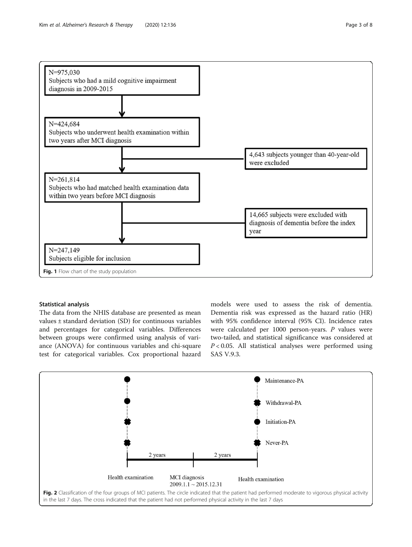<span id="page-2-0"></span>

# Statistical analysis

The data from the NHIS database are presented as mean values ± standard deviation (SD) for continuous variables and percentages for categorical variables. Differences between groups were confirmed using analysis of variance (ANOVA) for continuous variables and chi-square test for categorical variables. Cox proportional hazard

models were used to assess the risk of dementia. Dementia risk was expressed as the hazard ratio (HR) with 95% confidence interval (95% CI). Incidence rates were calculated per 1000 person-years. P values were two-tailed, and statistical significance was considered at  $P < 0.05$ . All statistical analyses were performed using SAS V.9.3.

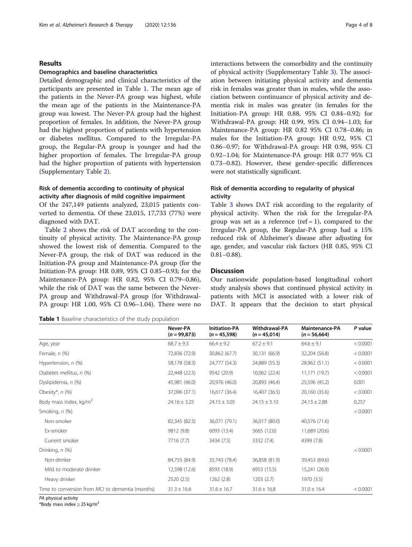## Results

#### Demographics and baseline characteristics

Detailed demographic and clinical characteristics of the participants are presented in Table 1. The mean age of the patients in the Never-PA group was highest, while the mean age of the patients in the Maintenance-PA group was lowest. The Never-PA group had the highest proportion of females. In addition, the Never-PA group had the highest proportion of patients with hypertension or diabetes mellitus. Compared to the Irregular-PA group, the Regular-PA group is younger and had the higher proportion of females. The Irregular-PA group had the higher proportion of patients with hypertension (Supplementary Table [2\)](#page-5-0).

# Risk of dementia according to continuity of physical activity after diagnosis of mild cognitive impairment

Of the 247,149 patients analyzed, 23,015 patients converted to dementia. Of these 23,015, 17,733 (77%) were diagnosed with DAT.

Table [2](#page-4-0) shows the risk of DAT according to the continuity of physical activity. The Maintenance-PA group showed the lowest risk of dementia. Compared to the Never-PA group, the risk of DAT was reduced in the Initiation-PA group and Maintenance-PA group (for the Initiation-PA group: HR 0.89, 95% CI 0.85–0.93; for the Maintenance-PA group: HR 0.82, 95% CI 0.79–0.86), while the risk of DAT was the same between the Never-PA group and Withdrawal-PA group (for Withdrawal-PA group: HR 1.00, 95% CI 0.96–1.04). There were no

| <b>Table 1</b> Baseline characteristics of the study population |  |  |  |
|-----------------------------------------------------------------|--|--|--|
|-----------------------------------------------------------------|--|--|--|

interactions between the comorbidity and the continuity of physical activity (Supplementary Table [3\)](#page-5-0). The association between initiating physical activity and dementia risk in females was greater than in males, while the association between continuance of physical activity and dementia risk in males was greater (in females for the Initiation-PA group: HR 0.88, 95% CI 0.84–0.92; for Withdrawal-PA group: HR 0.99, 95% CI 0.94–1.03; for Maintenance-PA group: HR 0.82 95% CI 0.78–0.86; in males for the Initiation-PA group: HR 0.92, 95% CI 0.86–0.97; for Withdrawal-PA group: HR 0.98, 95% CI 0.92–1.04; for Maintenance-PA group: HR 0.77 95% CI 0.73–0.82). However, these gender-specific differences were not statistically significant.

# Risk of dementia according to regularity of physical activity

Table [3](#page-4-0) shows DAT risk according to the regularity of physical activity. When the risk for the Irregular-PA group was set as a reference (ref = 1), compared to the Irregular-PA group, the Regular-PA group had a 15% reduced risk of Alzheimer's disease after adjusting for age, gender, and vascular risk factors (HR 0.85, 95% CI 0.81–0.88).

## **Discussion**

Our nationwide population-based longitudinal cohort study analysis shows that continued physical activity in patients with MCI is associated with a lower risk of DAT. It appears that the decision to start physical

|                                                  | Never-PA<br>$(n = 99,873)$ | <b>Initiation-PA</b><br>$(n = 45,598)$ | Withdrawal-PA<br>$(n = 45,014)$ | <b>Maintenance-PA</b><br>$(n = 56,664)$ | P value  |
|--------------------------------------------------|----------------------------|----------------------------------------|---------------------------------|-----------------------------------------|----------|
| Age, year                                        | $68.7 \pm 9.3$             | $66.4 \pm 9.2$                         | $67.2 \pm 9.1$                  | $64.6 \pm 9.1$                          | < 0.0001 |
| Female, $n$ $(\%)$                               | 72,836 (72.9)              | 30,862 (67.7)                          | 30,131 (66.9)                   | 32,204 (56.8)                           | < 0.0001 |
| Hypertension, n (%)                              | 58,178 (58.3)              | 24,777 (54.3)                          | 24,889 (55.3)                   | 28,962 (51.1)                           | < 0.0001 |
| Diabetes mellitus, n (%)                         | 22,448 (22.5)              | 9542 (20.9)                            | 10,062 (22.4)                   | 11,171 (19.7)                           | < 0.0001 |
| Dyslipidemia, n (%)                              | 45,981 (46.0)              | 20,976 (46.0)                          | 20,893 (46.4)                   | 25,596 (45.2)                           | 0.001    |
| Obesity*, $n$ (%)                                | 37,096 (37.1)              | 16,617 (36.4)                          | 16,407 (36.5)                   | 20,160 (35.6)                           | < 0.0001 |
| Body mass index, kg/m <sup>2</sup>               | $24.16 \pm 3.25$           | $24.15 \pm 3.05$                       | $24.15 \pm 3.10$                | $24.13 \pm 2.88$                        | 0.257    |
| Smoking, n (%)                                   |                            |                                        |                                 |                                         | < 0.0001 |
| Non-smoker                                       | 82,345 (82.5)              | 36,071 (79.1)                          | 36,017 (80.0)                   | 40,576 (71.6)                           |          |
| Ex-smoker                                        | 9812 (9.8)                 | 6093 (13.4)                            | 5665 (12.6)                     | 11,689 (20.6)                           |          |
| Current smoker                                   | 7716 (7.7)                 | 3434 (7.5)                             | 3332 (7.4)                      | 4399 (7.8)                              |          |
| Drinking, n (%)                                  |                            |                                        |                                 |                                         | < 0.0001 |
| Non-drinker                                      | 84,755 (84.9)              | 35,743 (78.4)                          | 36,858 (81.9)                   | 39,453 (69.6)                           |          |
| Mild to moderate drinker                         | 12,598 (12.6)              | 8593 (18.9)                            | 6953 (15.5)                     | 15,241 (26.9)                           |          |
| Heavy drinker                                    | 2520(2.5)                  | 1262(2.8)                              | 1203(2.7)                       | 1970 (3.5)                              |          |
| Time to conversion from MCI to dementia (months) | $31.3 \pm 16.6$            | $31.6 \pm 16.7$                        | $31.6 \pm 16.8$                 | $31.0 \pm 16.4$                         | < 0.0001 |

PA physical activity

\*Body mass index  $\geq$  25 kg/m<sup>2</sup>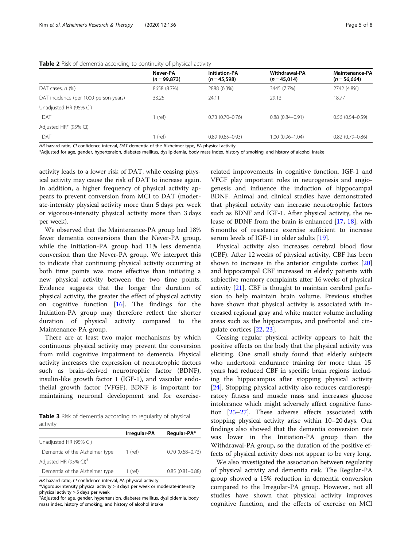#### <span id="page-4-0"></span>Table 2 Risk of dementia according to continuity of physical activity

|                                       | Never-PA<br>$(n = 99,873)$ | <b>Initiation-PA</b><br>$(n = 45,598)$ | <b>Withdrawal-PA</b><br>$(n = 45,014)$ | <b>Maintenance-PA</b><br>$(n = 56,664)$ |
|---------------------------------------|----------------------------|----------------------------------------|----------------------------------------|-----------------------------------------|
| DAT cases, $n$ $(\%)$                 | 8658 (8.7%)                | 2888 (6.3%)                            | 3445 (7.7%)                            | 2742 (4.8%)                             |
| DAT incidence (per 1000 person-years) | 33.25                      | 24.11                                  | 29.13                                  | 18.77                                   |
| Unadjusted HR (95% CI)                |                            |                                        |                                        |                                         |
| DAT                                   | 1 (ref)                    | $0.73(0.70-0.76)$                      | $0.88(0.84 - 0.91)$                    | $0.56(0.54 - 0.59)$                     |
| Adjusted HR* (95% CI)                 |                            |                                        |                                        |                                         |
| DAT                                   | 1 (ref)                    | $0.89(0.85 - 0.93)$                    | $1.00(0.96 - 1.04)$                    | $0.82(0.79 - 0.86)$                     |

HR hazard ratio, CI confidence interval, DAT dementia of the Alzheimer type, PA physical activity

\*Adjusted for age, gender, hypertension, diabetes mellitus, dyslipidemia, body mass index, history of smoking, and history of alcohol intake

activity leads to a lower risk of DAT, while ceasing physical activity may cause the risk of DAT to increase again. In addition, a higher frequency of physical activity appears to prevent conversion from MCI to DAT (moderate-intensity physical activity more than 5 days per week or vigorous-intensity physical activity more than 3 days per week).

We observed that the Maintenance-PA group had 18% fewer dementia conversions than the Never-PA group, while the Initiation-PA group had 11% less dementia conversion than the Never-PA group. We interpret this to indicate that continuing physical activity occurring at both time points was more effective than initiating a new physical activity between the two time points. Evidence suggests that the longer the duration of physical activity, the greater the effect of physical activity on cognitive function  $[16]$  $[16]$ . The findings for the Initiation-PA group may therefore reflect the shorter duration of physical activity compared to the Maintenance-PA group.

There are at least two major mechanisms by which continuous physical activity may prevent the conversion from mild cognitive impairment to dementia. Physical activity increases the expression of neurotrophic factors such as brain-derived neurotrophic factor (BDNF), insulin-like growth factor 1 (IGF-1), and vascular endothelial growth factor (VFGF). BDNF is important for maintaining neuronal development and for exercise-

**Table 3** Risk of dementia according to regularity of physical activity

|                                   | Irregular-PA | Regular-PA*         |
|-----------------------------------|--------------|---------------------|
| Unadjusted HR (95% CI)            |              |                     |
| Dementia of the Alzheimer type    | 1 (ref)      | $0.70(0.68 - 0.73)$ |
| Adjusted HR (95% CI) <sup>†</sup> |              |                     |
| Dementia of the Alzheimer type    | 1 (ref)      | $0.85(0.81 - 0.88)$ |

HR hazard ratio, CI confidence interval, PA physical activity

\*Vigorous-intensity physical activity ≥ 3 days per week or moderate-intensity physical activity ≥ 5 days per week<br><sup>†</sup>Adjusted for age, gender, hypertension, diabetes mellitus, dyslipidemia, body

mass index, history of smoking, and history of alcohol intake

related improvements in cognitive function. IGF-1 and VFGF play important roles in neurogenesis and angiogenesis and influence the induction of hippocampal BDNF. Animal and clinical studies have demonstrated that physical activity can increase neurotrophic factors such as BDNF and IGF-1. After physical activity, the release of BDNF from the brain is enhanced [[17,](#page-6-0) [18](#page-6-0)], with 6 months of resistance exercise sufficient to increase serum levels of IGF-1 in older adults [[19](#page-6-0)].

Physical activity also increases cerebral blood flow (CBF). After 12 weeks of physical activity, CBF has been shown to increase in the anterior cingulate cortex [[20](#page-6-0)] and hippocampal CBF increased in elderly patients with subjective memory complaints after 16 weeks of physical activity [[21](#page-6-0)]. CBF is thought to maintain cerebral perfusion to help maintain brain volume. Previous studies have shown that physical activity is associated with increased regional gray and white matter volume including areas such as the hippocampus, and prefrontal and cingulate cortices [[22,](#page-6-0) [23\]](#page-6-0).

Ceasing regular physical activity appears to halt the positive effects on the body that the physical activity was eliciting. One small study found that elderly subjects who undertook endurance training for more than 15 years had reduced CBF in specific brain regions including the hippocampus after stopping physical activity [[24\]](#page-6-0). Stopping physical activity also reduces cardiorespiratory fitness and muscle mass and increases glucose intolerance which might adversely affect cognitive function [\[25](#page-6-0)–[27\]](#page-7-0). These adverse effects associated with stopping physical activity arise within 10–20 days. Our findings also showed that the dementia conversion rate was lower in the Initiation-PA group than the Withdrawal-PA group, so the duration of the positive effects of physical activity does not appear to be very long.

We also investigated the association between regularity of physical activity and dementia risk. The Regular-PA group showed a 15% reduction in dementia conversion compared to the Irregular-PA group. However, not all studies have shown that physical activity improves cognitive function, and the effects of exercise on MCI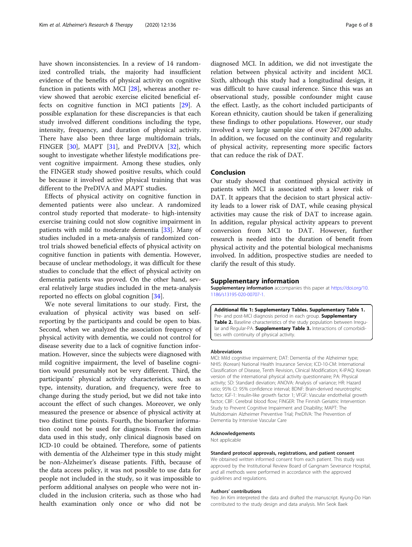<span id="page-5-0"></span>have shown inconsistencies. In a review of 14 randomized controlled trials, the majority had insufficient evidence of the benefits of physical activity on cognitive function in patients with MCI [[28\]](#page-7-0), whereas another review showed that aerobic exercise elicited beneficial effects on cognitive function in MCI patients [\[29](#page-7-0)]. A possible explanation for these discrepancies is that each study involved different conditions including the type, intensity, frequency, and duration of physical activity. There have also been three large multidomain trials, FINGER [\[30\]](#page-7-0), MAPT [[31](#page-7-0)], and PreDIVA [\[32](#page-7-0)], which sought to investigate whether lifestyle modifications prevent cognitive impairment. Among these studies, only the FINGER study showed positive results, which could be because it involved active physical training that was different to the PreDIVA and MAPT studies.

Effects of physical activity on cognitive function in demented patients were also unclear. A randomized control study reported that moderate- to high-intensity exercise training could not slow cognitive impairment in patients with mild to moderate dementia [\[33](#page-7-0)]. Many of studies included in a meta-analysis of randomized control trials showed beneficial effects of physical activity on cognitive function in patients with dementia. However, because of unclear methodology, it was difficult for these studies to conclude that the effect of physical activity on dementia patients was proved. On the other hand, several relatively large studies included in the meta-analysis reported no effects on global cognition [\[34](#page-7-0)].

We note several limitations to our study. First, the evaluation of physical activity was based on selfreporting by the participants and could be open to bias. Second, when we analyzed the association frequency of physical activity with dementia, we could not control for disease severity due to a lack of cognitive function information. However, since the subjects were diagnosed with mild cognitive impairment, the level of baseline cognition would presumably not be very different. Third, the participants' physical activity characteristics, such as type, intensity, duration, and frequency, were free to change during the study period, but we did not take into account the effect of such changes. Moreover, we only measured the presence or absence of physical activity at two distinct time points. Fourth, the biomarker information could not be used for diagnosis. From the claim data used in this study, only clinical diagnosis based on ICD-10 could be obtained. Therefore, some of patients with dementia of the Alzheimer type in this study might be non-Alzheimer's disease patients. Fifth, because of the data access policy, it was not possible to use data for people not included in the study, so it was impossible to perform additional analyses on people who were not included in the inclusion criteria, such as those who had health examination only once or who did not be

diagnosed MCI. In addition, we did not investigate the relation between physical activity and incident MCI. Sixth, although this study had a longitudinal design, it was difficult to have causal inference. Since this was an observational study, possible confounder might cause the effect. Lastly, as the cohort included participants of Korean ethnicity, caution should be taken if generalizing these findings to other populations. However, our study involved a very large sample size of over 247,000 adults. In addition, we focused on the continuity and regularity of physical activity, representing more specific factors that can reduce the risk of DAT.

# Conclusion

Our study showed that continued physical activity in patients with MCI is associated with a lower risk of DAT. It appears that the decision to start physical activity leads to a lower risk of DAT, while ceasing physical activities may cause the risk of DAT to increase again. In addition, regular physical activity appears to prevent conversion from MCI to DAT. However, further research is needed into the duration of benefit from physical activity and the potential biological mechanisms involved. In addition, prospective studies are needed to clarify the result of this study.

#### Supplementary information

Supplementary information accompanies this paper at [https://doi.org/10.](https://doi.org/10.1186/s13195-020-00707-1) [1186/s13195-020-00707-1](https://doi.org/10.1186/s13195-020-00707-1).

Additional file 1: Supplementary Tables. Supplementary Table 1. Pre- and post-MCI diagnosis period in each group. Supplementary Table 2. Baseline characteristics of the study population between Irregular and Regular-PA. Supplementary Table 3. Interactions of comorbidities with continuity of physical activity.

#### Abbreviations

MCI: Mild cognitive impairment; DAT: Dementia of the Alzheimer type; NHIS: (Korean) National Health Insurance Service; ICD-10-CM: International Classification of Disease, Tenth Revision, Clinical Modification; K-IPAQ: Korean version of the international physical activity questionnaire; PA: Physical activity; SD: Standard deviation; ANOVA: Analysis of variance; HR: Hazard ratio; 95% CI: 95% confidence interval; BDNF: Brain-derived neurotrophic factor; IGF-1: Insulin-like growth factor 1; VFGF: Vascular endothelial growth factor; CBF: Cerebral blood flow; FINGER: The Finnish Geriatric Intervention Study to Prevent Cognitive Impairment and Disability; MAPT: The Multidomain Alzheimer Preventive Trial; PreDIVA: The Prevention of Dementia by Intensive Vascular Care

#### Acknowledgements

Not applicable

#### Standard protocol approvals, registrations, and patient consent

We obtained written informed consent from each patient. This study was approved by the Institutional Review Board of Gangnam Severance Hospital, and all methods were performed in accordance with the approved guidelines and regulations.

#### Authors' contributions

Yeo Jin Kim interpreted the data and drafted the manuscript. Kyung-Do Han contributed to the study design and data analysis. Min Seok Baek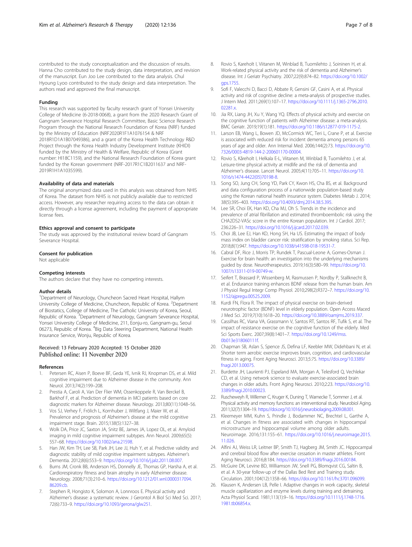<span id="page-6-0"></span>contributed to the study conceptualization and the discussion of results. Hanna Cho contributed to the study design, data interpretation, and revision of the manuscript. Eun Joo Lee contributed to the data analysis. Chul Hyoung Lyoo contributed to the study design and data interpretation. The authors read and approved the final manuscript.

#### Funding

This research was supported by faculty research grant of Yonsei University College of Medicine (6-2018-0068), a grant from the 2020 Research Grant of Gangnam Severance Hospital Research Committee, Basic Science Research Program through the National Research Foundation of Korea (NRF) funded by the Ministry of Education (NRF2020R1F1A1076154 & NRF 2018R1D1A1B07049386), and a grant of the Korea Health Technology R&D Project through the Korea Health Industry Development Institute (KHIDI) funded by the Ministry of Health & Welfare, Republic of Korea (Grant number: HI18C1159), and the National Research Foundation of Korea grant funded by the Korean government (NRF-2017R1C1B2011637 and NRF-2019R1H1A1035599).

#### Availability of data and materials

The original anonymized data used in this analysis was obtained from NHIS of Korea. The dataset from NHIS is not publicly available due to restricted access. However, any researcher requiring access to the data can obtain it directly through a license agreement, including the payment of appropriate license fees.

#### Ethics approval and consent to participate

The study was approved by the institutional review board of Gangnam Severance Hospital.

#### Consent for publication

Not applicable

#### Competing interests

The authors declare that they have no competing interests.

#### Author details

<sup>1</sup>Department of Neurology, Chuncheon Sacred Heart Hospital, Hallym University College of Medicine, Chuncheon, Republic of Korea. <sup>2</sup>Department of Biostatics, College of Medicine, The Catholic University of Korea, Seoul, Republic of Korea.<sup>3</sup> Department of Neurology, Gangnam Severance Hospital, Yonsei University College of Medicine, 211, Eonju-ro, Gangnam-gu, Seoul 06273, Republic of Korea. <sup>4</sup>Big Data Steering Department, National Health Insurance Service, Wonju, Republic of Korea.

# Received: 13 February 2020 Accepted: 15 October 2020

#### References

- 1. Petersen RC, Aisen P, Boeve BF, Geda YE, Ivnik RJ, Knopman DS, et al. Mild cognitive impairment due to Alzheimer disease in the community. Ann Neurol. 2013;74(2):199–208.
- 2. Prestia A, Caroli A, Van Der Flier WM, Ossenkoppele R, Van Berckel B, Barkhof F, et al. Prediction of dementia in MCI patients based on core diagnostic markers for Alzheimer disease. Neurology. 2013;80(11):1048–56.
- 3. Vos SJ, Verhey F, Frölich L, Kornhuber J, Wiltfang J, Maier W, et al. Prevalence and prognosis of Alzheimer's disease at the mild cognitive impairment stage. Brain. 2015;138(5):1327–38.
- 4. Wolk DA, Price JC, Saxton JA, Snitz BE, James JA, Lopez OL, et al. Amyloid imaging in mild cognitive impairment subtypes. Ann Neurol. 2009;65(5): 557–68. <https://doi.org/10.1002/ana.21598>.
- Han JW, Kim TH, Lee SB, Park JH, Lee JJ, Huh Y, et al. Predictive validity and diagnostic stability of mild cognitive impairment subtypes. Alzheimer's Dementia. 2012;8(6):553–9. <https://doi.org/10.1016/j.jalz.2011.08.007>.
- 6. Burns JM, Cronk BB, Anderson HS, Donnelly JE, Thomas GP, Harsha A, et al. Cardiorespiratory fitness and brain atrophy in early Alzheimer disease. Neurology. 2008;71(3):210–6. [https://doi.org/10.1212/01.wnl.0000317094.](https://doi.org/10.1212/01.wnl.0000317094.86209.cb) [86209.cb.](https://doi.org/10.1212/01.wnl.0000317094.86209.cb)
- 7. Stephen R, Hongisto K, Solomon A, Lonnroos E. Physical activity and Alzheimer's disease: a systematic review. J Gerontol A Biol Sci Med Sci. 2017; 72(6):733–9. [https://doi.org/10.1093/gerona/glw251.](https://doi.org/10.1093/gerona/glw251)
- 9. Sofi F, Valecchi D, Bacci D, Abbate R, Gensini GF, Casini A, et al. Physical activity and risk of cognitive decline: a meta-analysis of prospective studies. J Intern Med. 2011;269(1):107–17. [https://doi.org/10.1111/j.1365-2796.2010.](https://doi.org/10.1111/j.1365-2796.2010.02281.x) 02281x
- 10. Jia RX, Liang JH, Xu Y, Wang YQ. Effects of physical activity and exercise on the cognitive function of patients with Alzheimer disease: a meta-analysis. BMC Geriatr. 2019;19(1):181. [https://doi.org/10.1186/s12877-019-1175-2.](https://doi.org/10.1186/s12877-019-1175-2)
- 11. Larson EB, Wang L, Bowen JD, McCormick WC, Teri L, Crane P, et al. Exercise is associated with reduced risk for incident dementia among persons 65 years of age and older. Ann Internal Med. 2006;144(2):73. [https://doi.org/10.](https://doi.org/10.7326/0003-4819-144-2-200601170-00004) [7326/0003-4819-144-2-200601170-00004.](https://doi.org/10.7326/0003-4819-144-2-200601170-00004)
- 12. Rovio S, Kåreholt I, Helkala E-L, Viitanen M, Winblad B, Tuomilehto J, et al. Leisure-time physical activity at midlife and the risk of dementia and Alzheimer's disease. Lancet Neurol. 2005;4(11):705–11. [https://doi.org/10.](https://doi.org/10.1016/s1474-4422(05)70198-8) [1016/s1474-4422\(05\)70198-8.](https://doi.org/10.1016/s1474-4422(05)70198-8)
- 13. Song SO, Jung CH, Song YD, Park CY, Kwon HS, Cha BS, et al. Background and data configuration process of a nationwide population-based study using the Korean national health insurance system. Diabetes Metab J. 2014; 38(5):395–403. <https://doi.org/10.4093/dmj.2014.38.5.395>.
- 14. Lee SR, Choi EK, Han KD, Cha MJ, Oh S. Trends in the incidence and prevalence of atrial fibrillation and estimated thromboembolic risk using the CHA2DS2-VASc score in the entire Korean population. Int J Cardiol. 2017; 236:226–31. <https://doi.org/10.1016/j.ijcard.2017.02.039>.
- 15. Choi JB, Lee EJ, Han KD, Hong SH, Ha US. Estimating the impact of body mass index on bladder cancer risk: stratification by smoking status. Sci Rep. 2018;8(1):947. [https://doi.org/10.1038/s41598-018-19531-7.](https://doi.org/10.1038/s41598-018-19531-7)
- 16. Cabral DF, Rice J, Morris TP, Rundek T, Pascual-Leone A, Gomes-Osman J. Exercise for brain health: an investigation into the underlying mechanisms guided by dose. Neurotherapeutics. 2019;16(3):580–99. [https://doi.org/10.](https://doi.org/10.1007/s13311-019-00749-w) [1007/s13311-019-00749-w](https://doi.org/10.1007/s13311-019-00749-w).
- 17. Seifert T, Brassard P, Wissenberg M, Rasmussen P, Nordby P, Stallknecht B, et al. Endurance training enhances BDNF release from the human brain. Am J Physiol Regul Integr Comp Physiol. 2010;298(2):R372–7. [https://doi.org/10.](https://doi.org/10.1152/ajpregu.00525.2009) [1152/ajpregu.00525.2009.](https://doi.org/10.1152/ajpregu.00525.2009)
- 18. Kurdi FN, Flora R. The impact of physical exercise on brain-derived neurotrophic factor (BDNF) level in elderly population. Open Access Maced J Med Sci. 2019;7(10):1618–20. [https://doi.org/10.3889/oamjms.2019.337.](https://doi.org/10.3889/oamjms.2019.337)
- 19. Cassilhas RC, Viana VA, Grassmann V, Santos RT, Santos RF, Tufik S, et al. The impact of resistance exercise on the cognitive function of the elderly. Med Sci Sports Exerc. 2007;39(8):1401–7. [https://doi.org/10.1249/mss.](https://doi.org/10.1249/mss.0b013e318060111f) [0b013e318060111f](https://doi.org/10.1249/mss.0b013e318060111f).
- 20. Chapman SB, Aslan S, Spence JS, Defina LF, Keebler MW, Didehbani N, et al. Shorter term aerobic exercise improves brain, cognition, and cardiovascular fitness in aging. Front Aging Neurosci. 2013;5:75. [https://doi.org/10.3389/](https://doi.org/10.3389/fnagi.2013.00075) [fnagi.2013.00075.](https://doi.org/10.3389/fnagi.2013.00075)
- 21. Burdette JH, Laurienti PJ, Espeland MA, Morgan A, Telesford Q, Vechlekar CD, et al. Using network science to evaluate exercise-associated brain changes in older adults. Front Aging Neurosci. 2010;2:23. [https://doi.org/10.](https://doi.org/10.3389/fnagi.2010.00023) [3389/fnagi.2010.00023](https://doi.org/10.3389/fnagi.2010.00023).
- 22. Ruscheweyh R, Willemer C, Kruger K, Duning T, Warnecke T, Sommer J, et al. Physical activity and memory functions: an interventional study. Neurobiol Aging. 2011;32(7):1304–19. <https://doi.org/10.1016/j.neurobiolaging.2009.08.001>.
- 23. Kleemeyer MM, Kuhn S, Prindle J, Bodammer NC, Brechtel L, Garthe A, et al. Changes in fitness are associated with changes in hippocampal microstructure and hippocampal volume among older adults. Neuroimage. 2016;131:155–61. [https://doi.org/10.1016/j.neuroimage.2015.](https://doi.org/10.1016/j.neuroimage.2015.11.026) [11.026.](https://doi.org/10.1016/j.neuroimage.2015.11.026)
- 24. Alfini AJ, Weiss LR, Leitner BP, Smith TJ, Hagberg JM, Smith JC. Hippocampal and cerebral blood flow after exercise cessation in master athletes. Front Aging Neurosci. 2016;8:184. <https://doi.org/10.3389/fnagi.2016.00184>.
- 25. McGuire DK, Levine BD, Williamson JW, Snell PG, Blomqvist CG, Saltin B, et al. A 30-year follow-up of the Dallas Bed Rest and Training study. Circulation. 2001;104(12):1358–66. [https://doi.org/10.1161/hc3701.096099.](https://doi.org/10.1161/hc3701.096099)
- 26. Klausen K, Andersen LB, Pelle I. Adaptive changes in work capacity, skeletal muscle capillarization and enzyme levels during training and detraining. Acta Physiol Scand. 1981;113(1):9–16. [https://doi.org/10.1111/j.1748-1716.](https://doi.org/10.1111/j.1748-1716.1981.tb06854.x) 1981.tb06854x